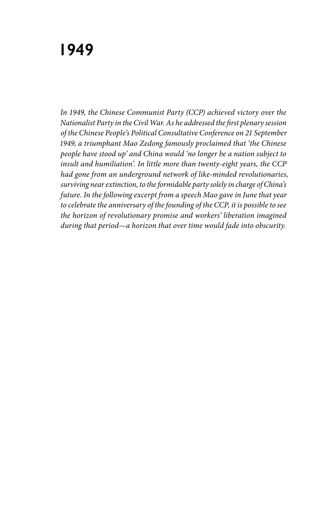## **1949**

*In 1949, the Chinese Communist Party (CCP) achieved victory over the Nationalist Party in the Civil War. As he addressed the first plenary session of the Chinese People's Political Consultative Conference on 21 September 1949, a triumphant Mao Zedong famously proclaimed that 'the Chinese people have stood up' and China would 'no longer be a nation subject to insult and humiliation'. In little more than twenty-eight years, the CCP had gone from an underground network of like-minded revolutionaries, surviving near extinction, to the formidable party solely in charge of China's future. In the following excerpt from a speech Mao gave in June that year to celebrate the anniversary of the founding of the CCP, it is possible to see the horizon of revolutionary promise and workers' liberation imagined during that period—a horizon that over time would fade into obscurity.*